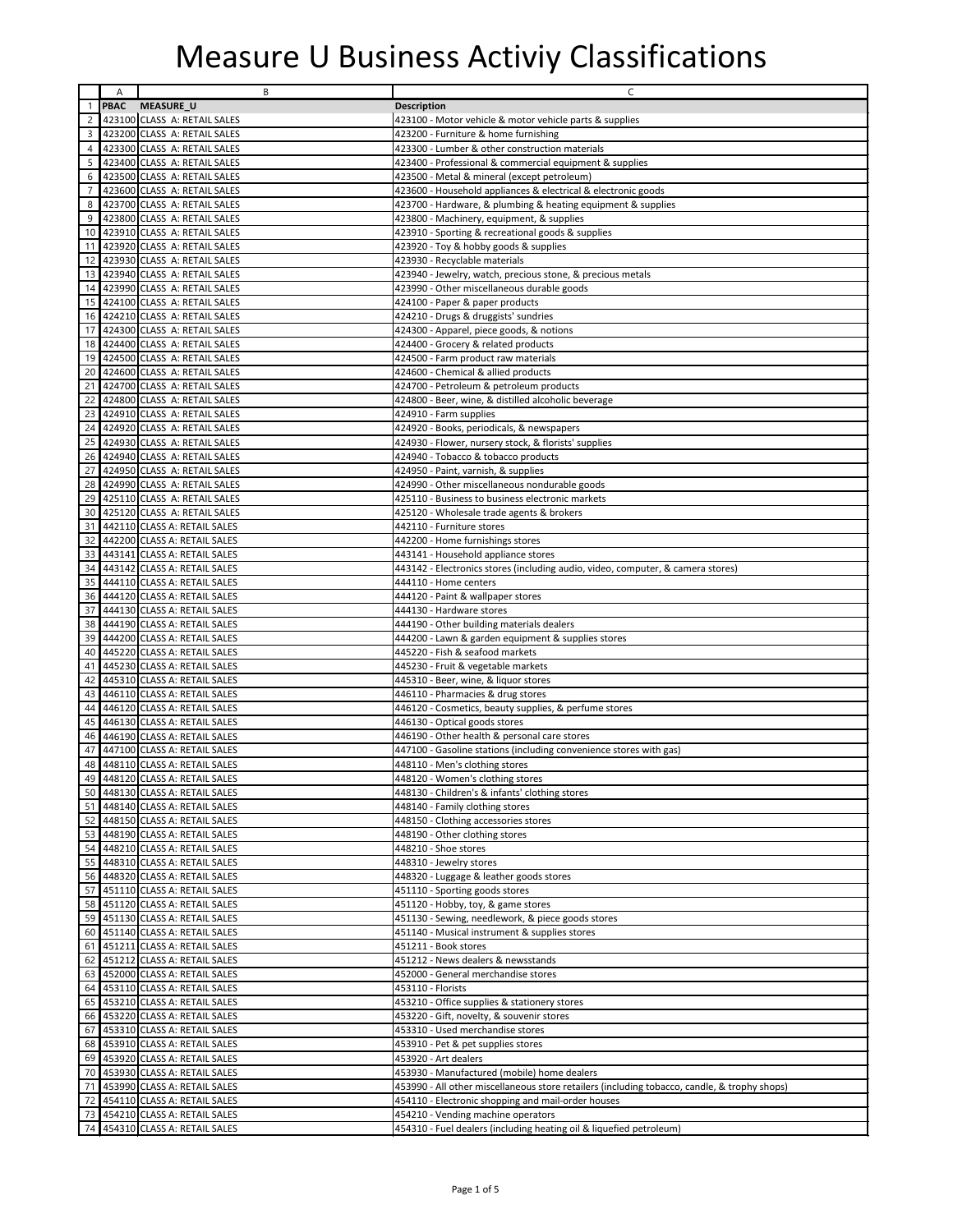|                 | Α           | B                               | C                                                                                            |
|-----------------|-------------|---------------------------------|----------------------------------------------------------------------------------------------|
| $\mathbf{1}$    | <b>PBAC</b> | <b>MEASURE_U</b>                | <b>Description</b>                                                                           |
| $\mathbf{2}$    |             | 423100 CLASS A: RETAIL SALES    | 423100 - Motor vehicle & motor vehicle parts & supplies                                      |
| 3 <sup>1</sup>  |             | 423200 CLASS A: RETAIL SALES    | 423200 - Furniture & home furnishing                                                         |
| 4 <sup>1</sup>  |             | 423300 CLASS A: RETAIL SALES    | 423300 - Lumber & other construction materials                                               |
| 5               |             | 423400 CLASS A: RETAIL SALES    | 423400 - Professional & commercial equipment & supplies                                      |
| 6               |             | 423500 CLASS A: RETAIL SALES    | 423500 - Metal & mineral (except petroleum)                                                  |
| $\overline{7}$  |             | 423600 CLASS A: RETAIL SALES    | 423600 - Household appliances & electrical & electronic goods                                |
|                 |             |                                 |                                                                                              |
| 8               |             | 423700 CLASS A: RETAIL SALES    | 423700 - Hardware, & plumbing & heating equipment & supplies                                 |
| 9               |             | 423800 CLASS A: RETAIL SALES    | 423800 - Machinery, equipment, & supplies                                                    |
| 10 <sup>1</sup> |             | 423910 CLASS A: RETAIL SALES    | 423910 - Sporting & recreational goods & supplies                                            |
| 11              |             | 423920 CLASS A: RETAIL SALES    | 423920 - Toy & hobby goods & supplies                                                        |
| 12              |             | 423930 CLASS A: RETAIL SALES    | 423930 - Recyclable materials                                                                |
|                 |             | 13 423940 CLASS A: RETAIL SALES | 423940 - Jewelry, watch, precious stone, & precious metals                                   |
| 14              |             | 423990 CLASS A: RETAIL SALES    | 423990 - Other miscellaneous durable goods                                                   |
|                 |             | 15 424100 CLASS A: RETAIL SALES | 424100 - Paper & paper products                                                              |
| 16              |             | 424210 CLASS A: RETAIL SALES    | 424210 - Drugs & druggists' sundries                                                         |
|                 |             | 17 424300 CLASS A: RETAIL SALES | 424300 - Apparel, piece goods, & notions                                                     |
| 18 <sup>1</sup> |             | 424400 CLASS A: RETAIL SALES    | 424400 - Grocery & related products                                                          |
|                 |             | 19 424500 CLASS A: RETAIL SALES | 424500 - Farm product raw materials                                                          |
| 20 <sub>1</sub> |             | 424600 CLASS A: RETAIL SALES    | 424600 - Chemical & allied products                                                          |
| 21              |             | 424700 CLASS A: RETAIL SALES    | 424700 - Petroleum & petroleum products                                                      |
| 22              |             | 424800 CLASS A: RETAIL SALES    | 424800 - Beer, wine, & distilled alcoholic beverage                                          |
| 23              |             | 424910 CLASS A: RETAIL SALES    | 424910 - Farm supplies                                                                       |
| 24              |             | 424920 CLASS A: RETAIL SALES    | 424920 - Books, periodicals, & newspapers                                                    |
| 25              |             | 424930 CLASS A: RETAIL SALES    | 424930 - Flower, nursery stock, & florists' supplies                                         |
| 26              |             | 424940 CLASS A: RETAIL SALES    | 424940 - Tobacco & tobacco products                                                          |
| 27              |             | 424950 CLASS A: RETAIL SALES    | 424950 - Paint, varnish, & supplies                                                          |
| 28              |             | 424990 CLASS A: RETAIL SALES    | 424990 - Other miscellaneous nondurable goods                                                |
| 29              |             | 425110 CLASS A: RETAIL SALES    | 425110 - Business to business electronic markets                                             |
| 30 <sup>°</sup> |             | 425120 CLASS A: RETAIL SALES    | 425120 - Wholesale trade agents & brokers                                                    |
| 31              |             | 442110 CLASS A: RETAIL SALES    | 442110 - Furniture stores                                                                    |
| 32              |             | 442200 CLASS A: RETAIL SALES    | 442200 - Home furnishings stores                                                             |
| 33              |             | 443141 CLASS A: RETAIL SALES    | 443141 - Household appliance stores                                                          |
| 34              |             | 443142 CLASS A: RETAIL SALES    | 443142 - Electronics stores (including audio, video, computer, & camera stores)              |
| 35              |             | 444110 CLASS A: RETAIL SALES    | 444110 - Home centers                                                                        |
| 36              |             | 444120 CLASS A: RETAIL SALES    | 444120 - Paint & wallpaper stores                                                            |
|                 |             | 37 444130 CLASS A: RETAIL SALES | 444130 - Hardware stores                                                                     |
| 38              |             | 444190 CLASS A: RETAIL SALES    | 444190 - Other building materials dealers                                                    |
|                 |             | 39 444200 CLASS A: RETAIL SALES | 444200 - Lawn & garden equipment & supplies stores                                           |
| 40              |             | 445220 CLASS A: RETAIL SALES    | 445220 - Fish & seafood markets                                                              |
| 41              |             | 445230 CLASS A: RETAIL SALES    | 445230 - Fruit & vegetable markets                                                           |
| 42              |             | 445310 CLASS A: RETAIL SALES    | 445310 - Beer, wine, & liquor stores                                                         |
|                 |             | 43 446110 CLASS A: RETAIL SALES | 446110 - Pharmacies & drug stores                                                            |
| 44              |             | 446120 CLASS A: RETAIL SALES    | 446120 - Cosmetics, beauty supplies, & perfume stores                                        |
| 45              |             | 446130 CLASS A: RETAIL SALES    | 446130 - Optical goods stores                                                                |
| 46              |             | 446190 CLASS A: RETAIL SALES    | 446190 - Other health & personal care stores                                                 |
| 47              |             | 447100 CLASS A: RETAIL SALES    | 447100 - Gasoline stations (including convenience stores with gas)                           |
| 48              |             | 448110 CLASS A: RETAIL SALES    | 448110 - Men's clothing stores                                                               |
|                 |             | 49 448120 CLASS A: RETAIL SALES | 448120 - Women's clothing stores                                                             |
|                 |             | 50 448130 CLASS A: RETAIL SALES | 448130 - Children's & infants' clothing stores                                               |
|                 |             | 51 448140 CLASS A: RETAIL SALES | 448140 - Family clothing stores                                                              |
|                 |             | 52 448150 CLASS A: RETAIL SALES | 448150 - Clothing accessories stores                                                         |
|                 |             | 53 448190 CLASS A: RETAIL SALES | 448190 - Other clothing stores                                                               |
|                 |             | 54 448210 CLASS A: RETAIL SALES | 448210 - Shoe stores                                                                         |
|                 |             | 55 448310 CLASS A: RETAIL SALES | 448310 - Jewelry stores                                                                      |
|                 |             | 56 448320 CLASS A: RETAIL SALES | 448320 - Luggage & leather goods stores                                                      |
|                 |             | 57 451110 CLASS A: RETAIL SALES | 451110 - Sporting goods stores                                                               |
|                 |             | 58 451120 CLASS A: RETAIL SALES | 451120 - Hobby, toy, & game stores                                                           |
|                 |             | 59 451130 CLASS A: RETAIL SALES | 451130 - Sewing, needlework, & piece goods stores                                            |
|                 |             | 60 451140 CLASS A: RETAIL SALES | 451140 - Musical instrument & supplies stores                                                |
|                 |             | 61 451211 CLASS A: RETAIL SALES | 451211 - Book stores                                                                         |
|                 |             | 62 451212 CLASS A: RETAIL SALES | 451212 - News dealers & newsstands                                                           |
|                 |             | 63 452000 CLASS A: RETAIL SALES | 452000 - General merchandise stores                                                          |
|                 |             | 64 453110 CLASS A: RETAIL SALES | 453110 - Florists                                                                            |
|                 |             | 65 453210 CLASS A: RETAIL SALES | 453210 - Office supplies & stationery stores                                                 |
|                 |             | 66 453220 CLASS A: RETAIL SALES | 453220 - Gift, novelty, & souvenir stores                                                    |
|                 |             | 67 453310 CLASS A: RETAIL SALES | 453310 - Used merchandise stores                                                             |
|                 |             | 68 453910 CLASS A: RETAIL SALES | 453910 - Pet & pet supplies stores                                                           |
|                 |             | 69 453920 CLASS A: RETAIL SALES | 453920 - Art dealers                                                                         |
|                 |             | 70 453930 CLASS A: RETAIL SALES | 453930 - Manufactured (mobile) home dealers                                                  |
| 71              |             | 453990 CLASS A: RETAIL SALES    | 453990 - All other miscellaneous store retailers (including tobacco, candle, & trophy shops) |
| 72              |             | 454110 CLASS A: RETAIL SALES    | 454110 - Electronic shopping and mail-order houses                                           |
|                 |             | 73 454210 CLASS A: RETAIL SALES | 454210 - Vending machine operators                                                           |
|                 |             | 74 454310 CLASS A: RETAIL SALES | 454310 - Fuel dealers (including heating oil & liquefied petroleum)                          |
|                 |             |                                 |                                                                                              |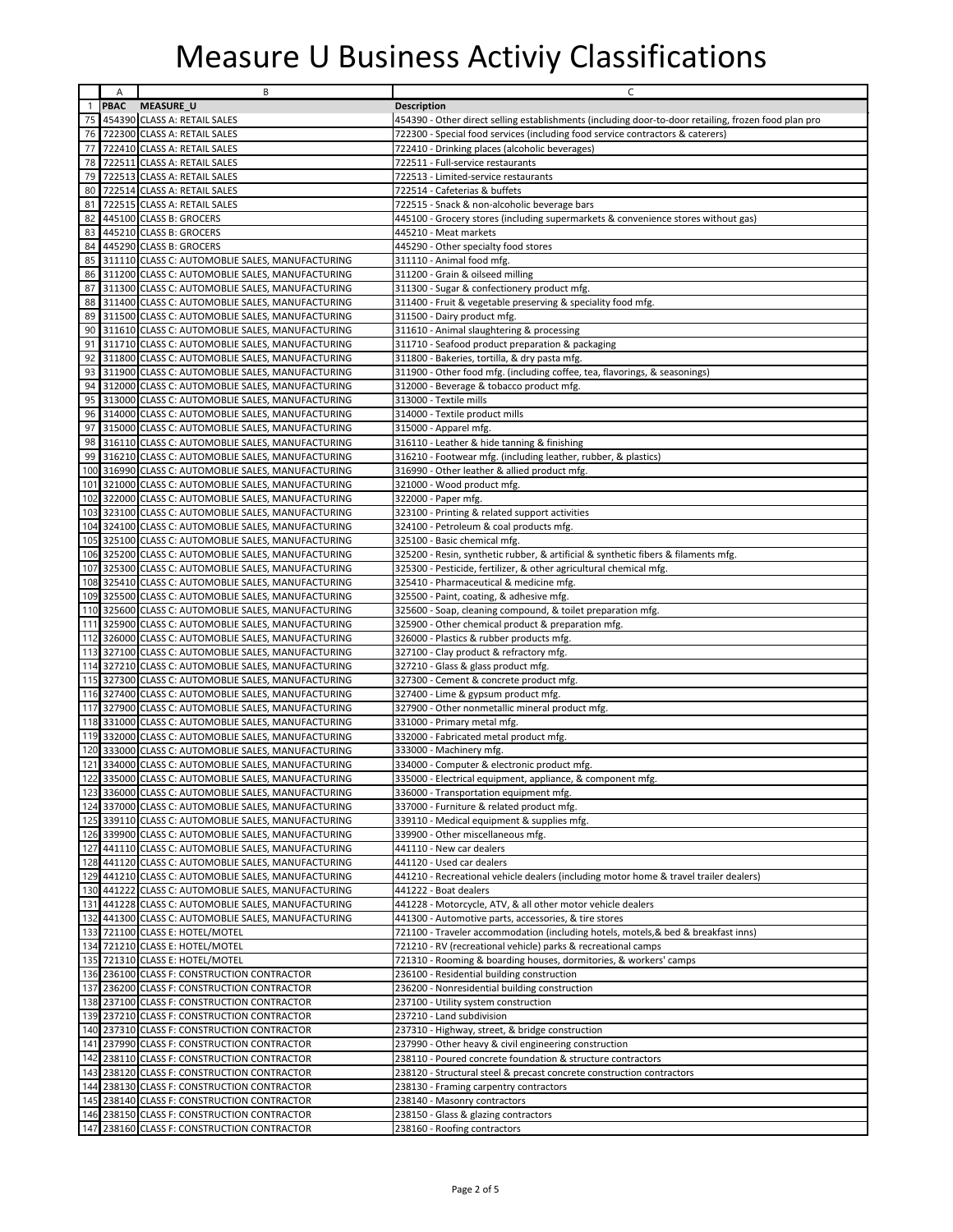|              | Α           | В                                                                                                      | C                                                                                                    |
|--------------|-------------|--------------------------------------------------------------------------------------------------------|------------------------------------------------------------------------------------------------------|
| $\mathbf{1}$ | <b>PBAC</b> | <b>MEASURE_U</b>                                                                                       | <b>Description</b>                                                                                   |
| 75           |             | 454390 CLASS A: RETAIL SALES                                                                           | 454390 - Other direct selling establishments (including door-to-door retailing, frozen food plan pro |
| 76           |             | 722300 CLASS A: RETAIL SALES                                                                           | 722300 - Special food services (including food service contractors & caterers)                       |
| 77           |             | 722410 CLASS A: RETAIL SALES                                                                           | 722410 - Drinking places (alcoholic beverages)                                                       |
| 78           |             | 722511 CLASS A: RETAIL SALES                                                                           | 722511 - Full-service restaurants                                                                    |
| 79           |             | 722513 CLASS A: RETAIL SALES                                                                           | 722513 - Limited-service restaurants                                                                 |
| 80           |             | 722514 CLASS A: RETAIL SALES                                                                           | 722514 - Cafeterias & buffets                                                                        |
| 81           |             | 722515 CLASS A: RETAIL SALES                                                                           | 722515 - Snack & non-alcoholic beverage bars                                                         |
| 82           |             | 445100 CLASS B: GROCERS                                                                                | 445100 - Grocery stores (including supermarkets & convenience stores without gas)                    |
| 83           |             | 445210 CLASS B: GROCERS                                                                                | 445210 - Meat markets                                                                                |
| 84           |             | 445290 CLASS B: GROCERS                                                                                | 445290 - Other specialty food stores                                                                 |
| 85           |             | 311110 CLASS C: AUTOMOBLIE SALES, MANUFACTURING                                                        | 311110 - Animal food mfg.                                                                            |
| 86           |             | 311200 CLASS C: AUTOMOBLIE SALES, MANUFACTURING                                                        | 311200 - Grain & oilseed milling                                                                     |
| 87           |             | 311300 CLASS C: AUTOMOBLIE SALES, MANUFACTURING                                                        | 311300 - Sugar & confectionery product mfg.                                                          |
|              |             | 88 311400 CLASS C: AUTOMOBLIE SALES, MANUFACTURING                                                     | 311400 - Fruit & vegetable preserving & speciality food mfg.                                         |
| 89           |             | 311500 CLASS C: AUTOMOBLIE SALES, MANUFACTURING                                                        | 311500 - Dairy product mfg.                                                                          |
| 90           |             | 311610 CLASS C: AUTOMOBLIE SALES, MANUFACTURING                                                        | 311610 - Animal slaughtering & processing                                                            |
| 91           |             | 311710 CLASS C: AUTOMOBLIE SALES, MANUFACTURING                                                        | 311710 - Seafood product preparation & packaging                                                     |
| 92           |             | 311800 CLASS C: AUTOMOBLIE SALES, MANUFACTURING                                                        | 311800 - Bakeries, tortilla, & dry pasta mfg.                                                        |
| 93           |             | 311900 CLASS C: AUTOMOBLIE SALES, MANUFACTURING                                                        | 311900 - Other food mfg. (including coffee, tea, flavorings, & seasonings)                           |
| 94<br>95     |             | 312000 CLASS C: AUTOMOBLIE SALES, MANUFACTURING                                                        | 312000 - Beverage & tobacco product mfg.                                                             |
| 96           |             | 313000 CLASS C: AUTOMOBLIE SALES, MANUFACTURING                                                        | 313000 - Textile mills                                                                               |
| 97           |             | 314000 CLASS C: AUTOMOBLIE SALES, MANUFACTURING<br>315000 CLASS C: AUTOMOBLIE SALES, MANUFACTURING     | 314000 - Textile product mills                                                                       |
|              |             | 98 316110 CLASS C: AUTOMOBLIE SALES, MANUFACTURING                                                     | 315000 - Apparel mfg.<br>316110 - Leather & hide tanning & finishing                                 |
| 99           |             | 316210 CLASS C: AUTOMOBLIE SALES, MANUFACTURING                                                        | 316210 - Footwear mfg. (including leather, rubber, & plastics)                                       |
| 100          |             | 316990 CLASS C: AUTOMOBLIE SALES, MANUFACTURING                                                        | 316990 - Other leather & allied product mfg.                                                         |
|              |             | 101 321000 CLASS C: AUTOMOBLIE SALES, MANUFACTURING                                                    | 321000 - Wood product mfg.                                                                           |
|              |             | 102 322000 CLASS C: AUTOMOBLIE SALES, MANUFACTURING                                                    | 322000 - Paper mfg.                                                                                  |
| 103          |             | 323100 CLASS C: AUTOMOBLIE SALES, MANUFACTURING                                                        | 323100 - Printing & related support activities                                                       |
|              |             | 104 324100 CLASS C: AUTOMOBLIE SALES, MANUFACTURING                                                    | 324100 - Petroleum & coal products mfg.                                                              |
|              |             | 105 325100 CLASS C: AUTOMOBLIE SALES, MANUFACTURING                                                    | 325100 - Basic chemical mfg.                                                                         |
| 106          |             | 325200 CLASS C: AUTOMOBLIE SALES, MANUFACTURING                                                        | 325200 - Resin, synthetic rubber, & artificial & synthetic fibers & filaments mfg.                   |
| 107          |             | 325300 CLASS C: AUTOMOBLIE SALES, MANUFACTURING                                                        | 325300 - Pesticide, fertilizer, & other agricultural chemical mfg.                                   |
|              |             | 108 325410 CLASS C: AUTOMOBLIE SALES, MANUFACTURING                                                    | 325410 - Pharmaceutical & medicine mfg.                                                              |
|              |             | 109 325500 CLASS C: AUTOMOBLIE SALES, MANUFACTURING                                                    | 325500 - Paint, coating, & adhesive mfg.                                                             |
|              |             | 110 325600 CLASS C: AUTOMOBLIE SALES, MANUFACTURING                                                    | 325600 - Soap, cleaning compound, & toilet preparation mfg.                                          |
|              |             | 111 325900 CLASS C: AUTOMOBLIE SALES, MANUFACTURING                                                    | 325900 - Other chemical product & preparation mfg.                                                   |
|              |             | 112 326000 CLASS C: AUTOMOBLIE SALES, MANUFACTURING                                                    | 326000 - Plastics & rubber products mfg.                                                             |
|              |             | 113 327100 CLASS C: AUTOMOBLIE SALES, MANUFACTURING                                                    | 327100 - Clay product & refractory mfg.                                                              |
|              |             | 114 327210 CLASS C: AUTOMOBLIE SALES, MANUFACTURING                                                    | 327210 - Glass & glass product mfg.                                                                  |
|              |             | 115 327300 CLASS C: AUTOMOBLIE SALES, MANUFACTURING                                                    | 327300 - Cement & concrete product mfg.                                                              |
|              |             | 116 327400 CLASS C: AUTOMOBLIE SALES, MANUFACTURING                                                    | 327400 - Lime & gypsum product mfg.                                                                  |
|              |             | 117 327900 CLASS C: AUTOMOBLIE SALES, MANUFACTURING                                                    | 327900 - Other nonmetallic mineral product mfg.                                                      |
| 119          |             | 118 331000 CLASS C: AUTOMOBLIE SALES, MANUFACTURING<br>332000 CLASS C: AUTOMOBLIE SALES, MANUFACTURING | 331000 - Primary metal mfg.<br>332000 - Fabricated metal product mfg.                                |
| 120          |             | 333000 CLASS C: AUTOMOBLIE SALES, MANUFACTURING                                                        | 333000 - Machinery mfg.                                                                              |
| 121          |             | 334000 CLASS C: AUTOMOBLIE SALES, MANUFACTURING                                                        | 334000 - Computer & electronic product mfg.                                                          |
|              |             | 122 335000 CLASS C: AUTOMOBLIE SALES, MANUFACTURING                                                    | 335000 - Electrical equipment, appliance, & component mfg.                                           |
|              |             | 123 336000 CLASS C: AUTOMOBLIE SALES, MANUFACTURING                                                    | 336000 - Transportation equipment mfg.                                                               |
|              |             | 124 337000 CLASS C: AUTOMOBLIE SALES, MANUFACTURING                                                    | 337000 - Furniture & related product mfg.                                                            |
|              |             | 125 339110 CLASS C: AUTOMOBLIE SALES, MANUFACTURING                                                    | 339110 - Medical equipment & supplies mfg.                                                           |
|              |             | 126 339900 CLASS C: AUTOMOBLIE SALES, MANUFACTURING                                                    | 339900 - Other miscellaneous mfg.                                                                    |
|              |             | 127 441110 CLASS C: AUTOMOBLIE SALES, MANUFACTURING                                                    | 441110 - New car dealers                                                                             |
|              |             | 128 441120 CLASS C: AUTOMOBLIE SALES, MANUFACTURING                                                    | 441120 - Used car dealers                                                                            |
| 129          |             | 441210 CLASS C: AUTOMOBLIE SALES, MANUFACTURING                                                        | 441210 - Recreational vehicle dealers (including motor home & travel trailer dealers)                |
|              |             | 130 441222 CLASS C: AUTOMOBLIE SALES, MANUFACTURING                                                    | 441222 - Boat dealers                                                                                |
|              |             | 131 441228 CLASS C: AUTOMOBLIE SALES, MANUFACTURING                                                    | 441228 - Motorcycle, ATV, & all other motor vehicle dealers                                          |
|              |             | 132 441300 CLASS C: AUTOMOBLIE SALES, MANUFACTURING                                                    | 441300 - Automotive parts, accessories, & tire stores                                                |
|              |             | 133 721100 CLASS E: HOTEL/MOTEL                                                                        | 721100 - Traveler accommodation (including hotels, motels, & bed & breakfast inns)                   |
|              |             | 134 721210 CLASS E: HOTEL/MOTEL                                                                        | 721210 - RV (recreational vehicle) parks & recreational camps                                        |
|              |             | 135 721310 CLASS E: HOTEL/MOTEL                                                                        | 721310 - Rooming & boarding houses, dormitories, & workers' camps                                    |
|              |             | 136 236100 CLASS F: CONSTRUCTION CONTRACTOR                                                            | 236100 - Residential building construction                                                           |
| 137          |             | 236200 CLASS F: CONSTRUCTION CONTRACTOR                                                                | 236200 - Nonresidential building construction                                                        |
|              |             | 138 237100 CLASS F: CONSTRUCTION CONTRACTOR<br>139 237210 CLASS F: CONSTRUCTION CONTRACTOR             | 237100 - Utility system construction<br>237210 - Land subdivision                                    |
|              |             | 140 237310 CLASS F: CONSTRUCTION CONTRACTOR                                                            | 237310 - Highway, street, & bridge construction                                                      |
|              |             | 141 237990 CLASS F: CONSTRUCTION CONTRACTOR                                                            | 237990 - Other heavy & civil engineering construction                                                |
|              |             | 142 238110 CLASS F: CONSTRUCTION CONTRACTOR                                                            | 238110 - Poured concrete foundation & structure contractors                                          |
| 143          |             | 238120 CLASS F: CONSTRUCTION CONTRACTOR                                                                | 238120 - Structural steel & precast concrete construction contractors                                |
|              |             | 144 238130 CLASS F: CONSTRUCTION CONTRACTOR                                                            | 238130 - Framing carpentry contractors                                                               |
|              |             | 145 238140 CLASS F: CONSTRUCTION CONTRACTOR                                                            | 238140 - Masonry contractors                                                                         |
|              |             | 146 238150 CLASS F: CONSTRUCTION CONTRACTOR                                                            | 238150 - Glass & glazing contractors                                                                 |
|              |             | 147 238160 CLASS F: CONSTRUCTION CONTRACTOR                                                            | 238160 - Roofing contractors                                                                         |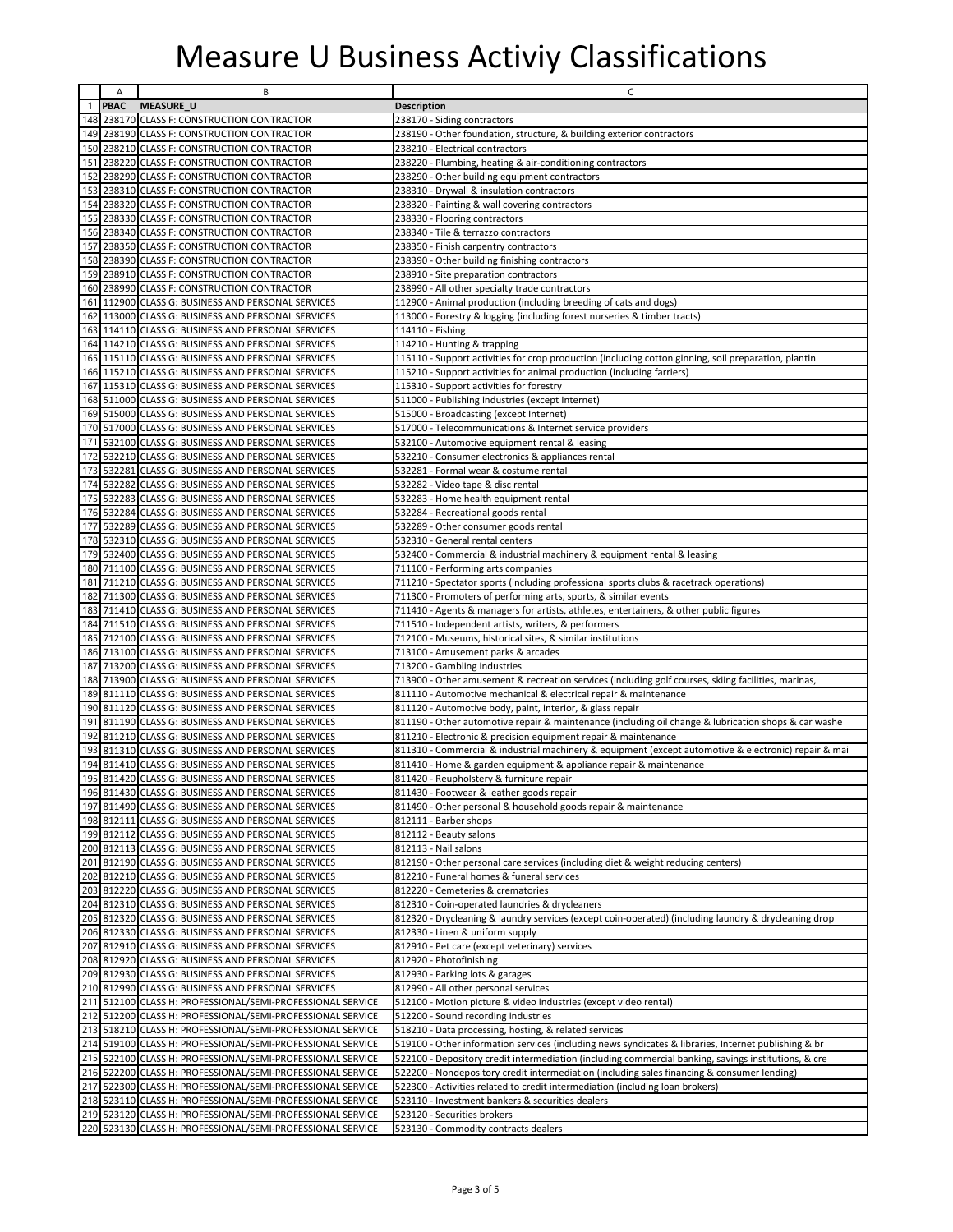|              | A           | B                                                          | C                                                                                                    |
|--------------|-------------|------------------------------------------------------------|------------------------------------------------------------------------------------------------------|
| $\mathbf{1}$ | <b>PBAC</b> | MEASURE_U                                                  | <b>Description</b>                                                                                   |
| 148          |             | 238170 CLASS F: CONSTRUCTION CONTRACTOR                    | 238170 - Siding contractors                                                                          |
| 149          |             | 238190 CLASS F: CONSTRUCTION CONTRACTOR                    | 238190 - Other foundation, structure, & building exterior contractors                                |
| 150          |             | 238210 CLASS F: CONSTRUCTION CONTRACTOR                    | 238210 - Electrical contractors                                                                      |
| 151          |             | 238220 CLASS F: CONSTRUCTION CONTRACTOR                    | 238220 - Plumbing, heating & air-conditioning contractors                                            |
| 152          |             | 238290 CLASS F: CONSTRUCTION CONTRACTOR                    | 238290 - Other building equipment contractors                                                        |
| 153          |             | 238310 CLASS F: CONSTRUCTION CONTRACTOR                    | 238310 - Drywall & insulation contractors                                                            |
| 154          |             | 238320 CLASS F: CONSTRUCTION CONTRACTOR                    | 238320 - Painting & wall covering contractors                                                        |
| 155          |             | 238330 CLASS F: CONSTRUCTION CONTRACTOR                    | 238330 - Flooring contractors                                                                        |
| 156          |             | 238340 CLASS F: CONSTRUCTION CONTRACTOR                    | 238340 - Tile & terrazzo contractors                                                                 |
| 157          |             | 238350 CLASS F: CONSTRUCTION CONTRACTOR                    | 238350 - Finish carpentry contractors                                                                |
| 158          |             |                                                            |                                                                                                      |
|              |             | 238390 CLASS F: CONSTRUCTION CONTRACTOR                    | 238390 - Other building finishing contractors                                                        |
| 159          |             | 238910 CLASS F: CONSTRUCTION CONTRACTOR                    | 238910 - Site preparation contractors                                                                |
| 160          |             | 238990 CLASS F: CONSTRUCTION CONTRACTOR                    | 238990 - All other specialty trade contractors                                                       |
|              |             | 161 112900 CLASS G: BUSINESS AND PERSONAL SERVICES         | 112900 - Animal production (including breeding of cats and dogs)                                     |
|              |             | 162 113000 CLASS G: BUSINESS AND PERSONAL SERVICES         | 113000 - Forestry & logging (including forest nurseries & timber tracts)                             |
| 163          |             | 114110 CLASS G: BUSINESS AND PERSONAL SERVICES             | 114110 - Fishing                                                                                     |
| 164          |             | 114210 CLASS G: BUSINESS AND PERSONAL SERVICES             | 114210 - Hunting & trapping                                                                          |
| 165          |             | 115110 CLASS G: BUSINESS AND PERSONAL SERVICES             | 115110 - Support activities for crop production (including cotton ginning, soil preparation, plantin |
|              |             | 166 115210 CLASS G: BUSINESS AND PERSONAL SERVICES         | 115210 - Support activities for animal production (including farriers)                               |
|              |             | 167 115310 CLASS G: BUSINESS AND PERSONAL SERVICES         | 115310 - Support activities for forestry                                                             |
|              |             | 168 511000 CLASS G: BUSINESS AND PERSONAL SERVICES         | 511000 - Publishing industries (except Internet)                                                     |
|              |             | 169 515000 CLASS G: BUSINESS AND PERSONAL SERVICES         | 515000 - Broadcasting (except Internet)                                                              |
|              |             | 170 517000 CLASS G: BUSINESS AND PERSONAL SERVICES         | 517000 - Telecommunications & Internet service providers                                             |
|              |             | 171 532100 CLASS G: BUSINESS AND PERSONAL SERVICES         | 532100 - Automotive equipment rental & leasing                                                       |
|              |             | 172 532210 CLASS G: BUSINESS AND PERSONAL SERVICES         |                                                                                                      |
|              |             |                                                            | 532210 - Consumer electronics & appliances rental                                                    |
| 173          |             | 532281 CLASS G: BUSINESS AND PERSONAL SERVICES             | 532281 - Formal wear & costume rental                                                                |
|              |             | 174 532282 CLASS G: BUSINESS AND PERSONAL SERVICES         | 532282 - Video tape & disc rental                                                                    |
|              |             | 175 532283 CLASS G: BUSINESS AND PERSONAL SERVICES         | 532283 - Home health equipment rental                                                                |
|              |             | 176 532284 CLASS G: BUSINESS AND PERSONAL SERVICES         | 532284 - Recreational goods rental                                                                   |
| 177          |             | 532289 CLASS G: BUSINESS AND PERSONAL SERVICES             | 532289 - Other consumer goods rental                                                                 |
|              |             | 178 532310 CLASS G: BUSINESS AND PERSONAL SERVICES         | 532310 - General rental centers                                                                      |
| 179          |             | 532400 CLASS G: BUSINESS AND PERSONAL SERVICES             | 532400 - Commercial & industrial machinery & equipment rental & leasing                              |
| 180          |             | 711100 CLASS G: BUSINESS AND PERSONAL SERVICES             | 711100 - Performing arts companies                                                                   |
|              |             | 181 711210 CLASS G: BUSINESS AND PERSONAL SERVICES         | 711210 - Spectator sports (including professional sports clubs & racetrack operations)               |
| 182          |             | 711300 CLASS G: BUSINESS AND PERSONAL SERVICES             | 711300 - Promoters of performing arts, sports, & similar events                                      |
| 183          |             | 711410 CLASS G: BUSINESS AND PERSONAL SERVICES             | 711410 - Agents & managers for artists, athletes, entertainers, & other public figures               |
| 184          |             | 711510 CLASS G: BUSINESS AND PERSONAL SERVICES             | 711510 - Independent artists, writers, & performers                                                  |
| 185          |             | 712100 CLASS G: BUSINESS AND PERSONAL SERVICES             | 712100 - Museums, historical sites, & similar institutions                                           |
| 186          |             | 713100 CLASS G: BUSINESS AND PERSONAL SERVICES             | 713100 - Amusement parks & arcades                                                                   |
| 187          |             | 713200 CLASS G: BUSINESS AND PERSONAL SERVICES             | 713200 - Gambling industries                                                                         |
| 188          |             | 713900 CLASS G: BUSINESS AND PERSONAL SERVICES             | 713900 - Other amusement & recreation services (including golf courses, skiing facilities, marinas,  |
| 189          |             | 811110 CLASS G: BUSINESS AND PERSONAL SERVICES             | 811110 - Automotive mechanical & electrical repair & maintenance                                     |
| 190          |             | 811120 CLASS G: BUSINESS AND PERSONAL SERVICES             | 811120 - Automotive body, paint, interior, & glass repair                                            |
| 191          |             | 811190 CLASS G: BUSINESS AND PERSONAL SERVICES             | 811190 - Other automotive repair & maintenance (including oil change & lubrication shops & car washe |
| 192          |             | 811210 CLASS G: BUSINESS AND PERSONAL SERVICES             | 811210 - Electronic & precision equipment repair & maintenance                                       |
| 193          |             | 811310 CLASS G: BUSINESS AND PERSONAL SERVICES             | 811310 - Commercial & industrial machinery & equipment (except automotive & electronic) repair & mai |
| 194          |             | 811410 CLASS G: BUSINESS AND PERSONAL SERVICES             | 811410 - Home & garden equipment & appliance repair & maintenance                                    |
|              |             | 195 811420 CLASS G: BUSINESS AND PERSONAL SERVICES         | 811420 - Reupholstery & furniture repair                                                             |
|              |             | 196 811430 CLASS G: BUSINESS AND PERSONAL SERVICES         | 811430 - Footwear & leather goods repair                                                             |
|              |             | 197 811490 CLASS G: BUSINESS AND PERSONAL SERVICES         | 811490 - Other personal & household goods repair & maintenance                                       |
|              |             | 198 812111 CLASS G: BUSINESS AND PERSONAL SERVICES         | 812111 - Barber shops                                                                                |
|              |             | 199 812112 CLASS G: BUSINESS AND PERSONAL SERVICES         |                                                                                                      |
|              |             |                                                            | 812112 - Beauty salons                                                                               |
|              |             | 200 812113 CLASS G: BUSINESS AND PERSONAL SERVICES         | 812113 - Nail salons                                                                                 |
|              |             | 201 812190 CLASS G: BUSINESS AND PERSONAL SERVICES         | 812190 - Other personal care services (including diet & weight reducing centers)                     |
| 202          |             | 812210 CLASS G: BUSINESS AND PERSONAL SERVICES             | 812210 - Funeral homes & funeral services                                                            |
| 203          |             | 812220 CLASS G: BUSINESS AND PERSONAL SERVICES             | 812220 - Cemeteries & crematories                                                                    |
| 204          |             | 812310 CLASS G: BUSINESS AND PERSONAL SERVICES             | 812310 - Coin-operated laundries & drycleaners                                                       |
|              |             | 205 812320 CLASS G: BUSINESS AND PERSONAL SERVICES         | 812320 - Drycleaning & laundry services (except coin-operated) (including laundry & drycleaning drop |
|              |             | 206 812330 CLASS G: BUSINESS AND PERSONAL SERVICES         | 812330 - Linen & uniform supply                                                                      |
| 207          |             | 812910 CLASS G: BUSINESS AND PERSONAL SERVICES             | 812910 - Pet care (except veterinary) services                                                       |
|              |             | 208 812920 CLASS G: BUSINESS AND PERSONAL SERVICES         | 812920 - Photofinishing                                                                              |
| 209          |             | 812930 CLASS G: BUSINESS AND PERSONAL SERVICES             | 812930 - Parking lots & garages                                                                      |
|              |             | 210 812990 CLASS G: BUSINESS AND PERSONAL SERVICES         | 812990 - All other personal services                                                                 |
|              |             | 211 512100 CLASS H: PROFESSIONAL/SEMI-PROFESSIONAL SERVICE | 512100 - Motion picture & video industries (except video rental)                                     |
|              |             | 212 512200 CLASS H: PROFESSIONAL/SEMI-PROFESSIONAL SERVICE | 512200 - Sound recording industries                                                                  |
|              |             | 213 518210 CLASS H: PROFESSIONAL/SEMI-PROFESSIONAL SERVICE | 518210 - Data processing, hosting, & related services                                                |
|              |             | 214 519100 CLASS H: PROFESSIONAL/SEMI-PROFESSIONAL SERVICE | 519100 - Other information services (including news syndicates & libraries, Internet publishing & br |
|              |             | 215 522100 CLASS H: PROFESSIONAL/SEMI-PROFESSIONAL SERVICE | 522100 - Depository credit intermediation (including commercial banking, savings institutions, & cre |
|              |             | 216 522200 CLASS H: PROFESSIONAL/SEMI-PROFESSIONAL SERVICE | 522200 - Nondepository credit intermediation (including sales financing & consumer lending)          |
|              |             | 217 522300 CLASS H: PROFESSIONAL/SEMI-PROFESSIONAL SERVICE | 522300 - Activities related to credit intermediation (including loan brokers)                        |
|              |             | 218 523110 CLASS H: PROFESSIONAL/SEMI-PROFESSIONAL SERVICE |                                                                                                      |
|              |             |                                                            | 523110 - Investment bankers & securities dealers                                                     |
|              |             | 219 523120 CLASS H: PROFESSIONAL/SEMI-PROFESSIONAL SERVICE | 523120 - Securities brokers                                                                          |
|              |             | 220 523130 CLASS H: PROFESSIONAL/SEMI-PROFESSIONAL SERVICE | 523130 - Commodity contracts dealers                                                                 |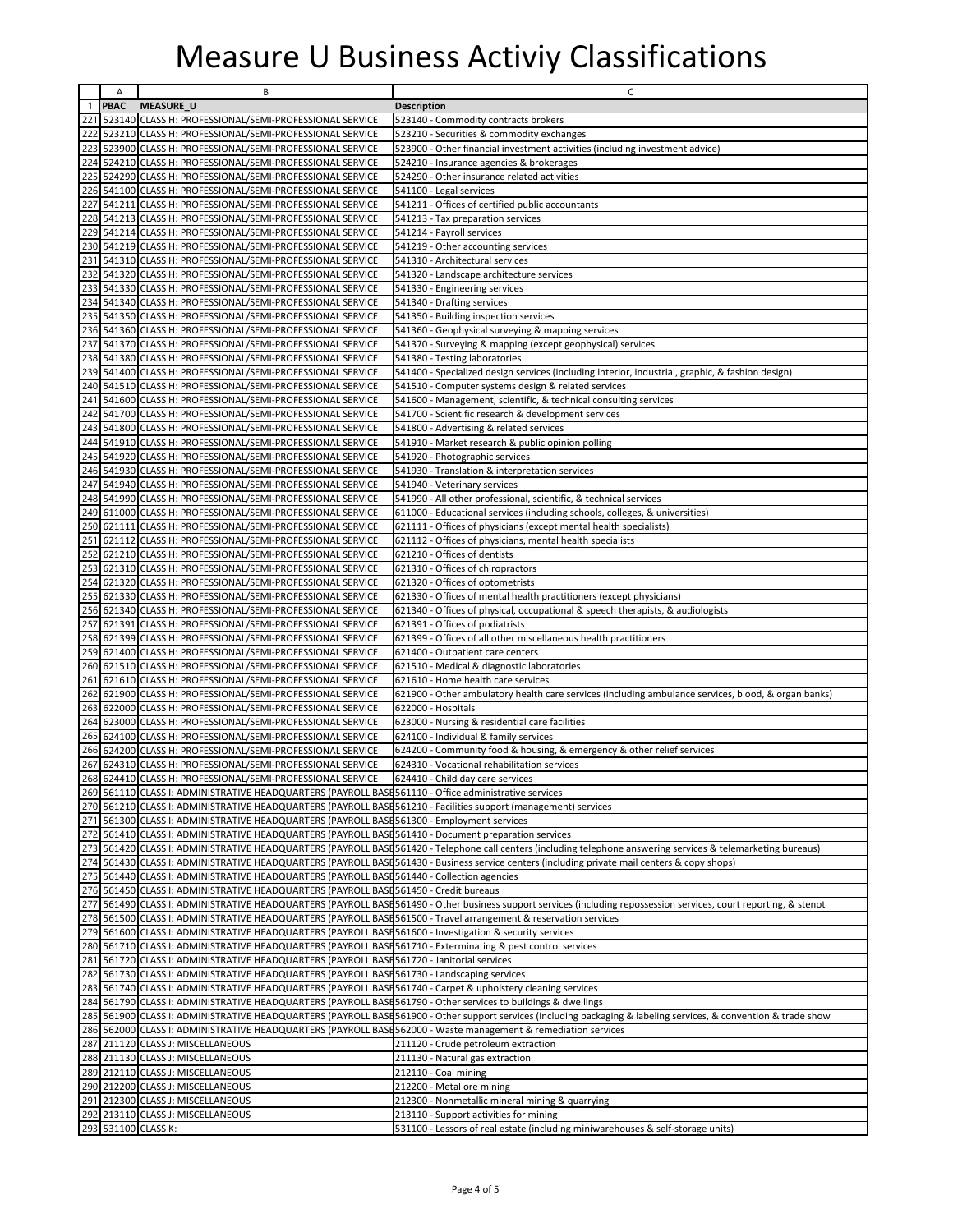|            | Α      | B                                                                                                                                                                                                                | C                                                                                                                                                              |
|------------|--------|------------------------------------------------------------------------------------------------------------------------------------------------------------------------------------------------------------------|----------------------------------------------------------------------------------------------------------------------------------------------------------------|
|            | 1 PBAC | <b>MEASURE_U</b>                                                                                                                                                                                                 | <b>Description</b>                                                                                                                                             |
|            |        | 221 523140 CLASS H: PROFESSIONAL/SEMI-PROFESSIONAL SERVICE                                                                                                                                                       | 523140 - Commodity contracts brokers                                                                                                                           |
| 222        |        | 523210 CLASS H: PROFESSIONAL/SEMI-PROFESSIONAL SERVICE                                                                                                                                                           | 523210 - Securities & commodity exchanges                                                                                                                      |
| 223        |        | 523900 CLASS H: PROFESSIONAL/SEMI-PROFESSIONAL SERVICE                                                                                                                                                           | 523900 - Other financial investment activities (including investment advice)                                                                                   |
| 224        |        | 524210 CLASS H: PROFESSIONAL/SEMI-PROFESSIONAL SERVICE                                                                                                                                                           | 524210 - Insurance agencies & brokerages                                                                                                                       |
| 225        |        | 524290 CLASS H: PROFESSIONAL/SEMI-PROFESSIONAL SERVICE                                                                                                                                                           | 524290 - Other insurance related activities                                                                                                                    |
| 226        |        | 541100 CLASS H: PROFESSIONAL/SEMI-PROFESSIONAL SERVICE                                                                                                                                                           | 541100 - Legal services                                                                                                                                        |
| 227        |        | 541211 CLASS H: PROFESSIONAL/SEMI-PROFESSIONAL SERVICE                                                                                                                                                           | 541211 - Offices of certified public accountants                                                                                                               |
| 228        |        | 541213 CLASS H: PROFESSIONAL/SEMI-PROFESSIONAL SERVICE                                                                                                                                                           | 541213 - Tax preparation services                                                                                                                              |
| 229        |        | 541214 CLASS H: PROFESSIONAL/SEMI-PROFESSIONAL SERVICE                                                                                                                                                           | 541214 - Payroll services                                                                                                                                      |
| 230        |        | 541219 CLASS H: PROFESSIONAL/SEMI-PROFESSIONAL SERVICE                                                                                                                                                           | 541219 - Other accounting services                                                                                                                             |
|            |        | 231 541310 CLASS H: PROFESSIONAL/SEMI-PROFESSIONAL SERVICE                                                                                                                                                       | 541310 - Architectural services                                                                                                                                |
| 232        |        | 541320 CLASS H: PROFESSIONAL/SEMI-PROFESSIONAL SERVICE                                                                                                                                                           | 541320 - Landscape architecture services                                                                                                                       |
| 233        |        | 541330 CLASS H: PROFESSIONAL/SEMI-PROFESSIONAL SERVICE                                                                                                                                                           | 541330 - Engineering services                                                                                                                                  |
| 234        |        | 541340 CLASS H: PROFESSIONAL/SEMI-PROFESSIONAL SERVICE                                                                                                                                                           | 541340 - Drafting services                                                                                                                                     |
| 235        |        | 541350 CLASS H: PROFESSIONAL/SEMI-PROFESSIONAL SERVICE                                                                                                                                                           | 541350 - Building inspection services                                                                                                                          |
| 236        |        | 541360 CLASS H: PROFESSIONAL/SEMI-PROFESSIONAL SERVICE                                                                                                                                                           | 541360 - Geophysical surveying & mapping services                                                                                                              |
| 237        |        | 541370 CLASS H: PROFESSIONAL/SEMI-PROFESSIONAL SERVICE                                                                                                                                                           | 541370 - Surveying & mapping (except geophysical) services                                                                                                     |
| 238        |        | 541380 CLASS H: PROFESSIONAL/SEMI-PROFESSIONAL SERVICE                                                                                                                                                           | 541380 - Testing laboratories                                                                                                                                  |
| 239        |        | 541400 CLASS H: PROFESSIONAL/SEMI-PROFESSIONAL SERVICE                                                                                                                                                           | 541400 - Specialized design services (including interior, industrial, graphic, & fashion design)                                                               |
| 240        |        | 541510 CLASS H: PROFESSIONAL/SEMI-PROFESSIONAL SERVICE                                                                                                                                                           | 541510 - Computer systems design & related services                                                                                                            |
| 241        |        | 541600 CLASS H: PROFESSIONAL/SEMI-PROFESSIONAL SERVICE                                                                                                                                                           | 541600 - Management, scientific, & technical consulting services                                                                                               |
| 242        |        | 541700 CLASS H: PROFESSIONAL/SEMI-PROFESSIONAL SERVICE                                                                                                                                                           | 541700 - Scientific research & development services                                                                                                            |
| 243        |        | 541800 CLASS H: PROFESSIONAL/SEMI-PROFESSIONAL SERVICE                                                                                                                                                           | 541800 - Advertising & related services                                                                                                                        |
| 244        |        | 541910 CLASS H: PROFESSIONAL/SEMI-PROFESSIONAL SERVICE                                                                                                                                                           | 541910 - Market research & public opinion polling                                                                                                              |
| 245        |        | 541920 CLASS H: PROFESSIONAL/SEMI-PROFESSIONAL SERVICE                                                                                                                                                           | 541920 - Photographic services                                                                                                                                 |
| 246        |        | 541930 CLASS H: PROFESSIONAL/SEMI-PROFESSIONAL SERVICE                                                                                                                                                           | 541930 - Translation & interpretation services                                                                                                                 |
| 247        |        | 541940 CLASS H: PROFESSIONAL/SEMI-PROFESSIONAL SERVICE                                                                                                                                                           | 541940 - Veterinary services                                                                                                                                   |
| 248        |        | 541990 CLASS H: PROFESSIONAL/SEMI-PROFESSIONAL SERVICE                                                                                                                                                           | 541990 - All other professional, scientific, & technical services                                                                                              |
| 249        |        | 611000 CLASS H: PROFESSIONAL/SEMI-PROFESSIONAL SERVICE                                                                                                                                                           | 611000 - Educational services (including schools, colleges, & universities)                                                                                    |
| 250        |        | 621111 CLASS H: PROFESSIONAL/SEMI-PROFESSIONAL SERVICE                                                                                                                                                           | 621111 - Offices of physicians (except mental health specialists)                                                                                              |
| 251<br>252 |        | 621112 CLASS H: PROFESSIONAL/SEMI-PROFESSIONAL SERVICE                                                                                                                                                           | 621112 - Offices of physicians, mental health specialists                                                                                                      |
| 253        |        | 621210 CLASS H: PROFESSIONAL/SEMI-PROFESSIONAL SERVICE                                                                                                                                                           | 621210 - Offices of dentists<br>621310 - Offices of chiropractors                                                                                              |
| 254        |        | 621310 CLASS H: PROFESSIONAL/SEMI-PROFESSIONAL SERVICE<br>621320 CLASS H: PROFESSIONAL/SEMI-PROFESSIONAL SERVICE                                                                                                 | 621320 - Offices of optometrists                                                                                                                               |
| 255        |        | 621330 CLASS H: PROFESSIONAL/SEMI-PROFESSIONAL SERVICE                                                                                                                                                           | 621330 - Offices of mental health practitioners (except physicians)                                                                                            |
| 256        |        | 621340 CLASS H: PROFESSIONAL/SEMI-PROFESSIONAL SERVICE                                                                                                                                                           | 621340 - Offices of physical, occupational & speech therapists, & audiologists                                                                                 |
| 257        |        | 621391 CLASS H: PROFESSIONAL/SEMI-PROFESSIONAL SERVICE                                                                                                                                                           | 621391 - Offices of podiatrists                                                                                                                                |
| 258        |        | 621399 CLASS H: PROFESSIONAL/SEMI-PROFESSIONAL SERVICE                                                                                                                                                           | 621399 - Offices of all other miscellaneous health practitioners                                                                                               |
| 259        |        | 621400 CLASS H: PROFESSIONAL/SEMI-PROFESSIONAL SERVICE                                                                                                                                                           | 621400 - Outpatient care centers                                                                                                                               |
| 260        |        | 621510 CLASS H: PROFESSIONAL/SEMI-PROFESSIONAL SERVICE                                                                                                                                                           | 621510 - Medical & diagnostic laboratories                                                                                                                     |
| 261        |        | 621610 CLASS H: PROFESSIONAL/SEMI-PROFESSIONAL SERVICE                                                                                                                                                           | 621610 - Home health care services                                                                                                                             |
| 262        |        | 621900 CLASS H: PROFESSIONAL/SEMI-PROFESSIONAL SERVICE                                                                                                                                                           | 621900 - Other ambulatory health care services (including ambulance services, blood, & organ banks)                                                            |
| 263        |        | 622000 CLASS H: PROFESSIONAL/SEMI-PROFESSIONAL SERVICE                                                                                                                                                           | 622000 - Hospitals                                                                                                                                             |
| 264        |        | 623000 CLASS H: PROFESSIONAL/SEMI-PROFESSIONAL SERVICE                                                                                                                                                           | 623000 - Nursing & residential care facilities                                                                                                                 |
| 265        |        | 624100 CLASS H: PROFESSIONAL/SEMI-PROFESSIONAL SERVICE                                                                                                                                                           | 624100 - Individual & family services                                                                                                                          |
| 266        |        | 624200 CLASS H: PROFESSIONAL/SEMI-PROFESSIONAL SERVICE                                                                                                                                                           | 624200 - Community food & housing, & emergency & other relief services                                                                                         |
| 267        |        | 624310 CLASS H: PROFESSIONAL/SEMI-PROFESSIONAL SERVICE                                                                                                                                                           | 624310 - Vocational rehabilitation services                                                                                                                    |
|            |        | 268 624410 CLASS H: PROFESSIONAL/SEMI-PROFESSIONAL SERVICE                                                                                                                                                       | 624410 - Child day care services                                                                                                                               |
|            |        | 269 561110 CLASS I: ADMINISTRATIVE HEADQUARTERS (PAYROLL BASE 561110 - Office administrative services                                                                                                            |                                                                                                                                                                |
| 270        |        | 561210 CLASS I: ADMINISTRATIVE HEADQUARTERS (PAYROLL BASE 561210 - Facilities support (management) services                                                                                                      |                                                                                                                                                                |
|            |        | 271 561300 CLASS I: ADMINISTRATIVE HEADQUARTERS (PAYROLL BASE 561300 - Employment services                                                                                                                       |                                                                                                                                                                |
| 272        |        | 561410 CLASS I: ADMINISTRATIVE HEADQUARTERS (PAYROLL BASE 561410 - Document preparation services                                                                                                                 |                                                                                                                                                                |
| 273        |        |                                                                                                                                                                                                                  | 561420 CLASS I: ADMINISTRATIVE HEADQUARTERS (PAYROLL BASE 561420 - Telephone call centers (including telephone answering services & telemarketing bureaus)     |
| 274        |        |                                                                                                                                                                                                                  | 561430 CLASS I: ADMINISTRATIVE HEADQUARTERS (PAYROLL BASE 561430 - Business service centers (including private mail centers & copy shops)                      |
| 275<br>276 |        | 561440 CLASS I: ADMINISTRATIVE HEADQUARTERS (PAYROLL BASE 561440 - Collection agencies                                                                                                                           |                                                                                                                                                                |
|            |        | 561450 CLASS I: ADMINISTRATIVE HEADQUARTERS (PAYROLL BASE 561450 - Credit bureaus                                                                                                                                |                                                                                                                                                                |
| 277<br>278 |        | 561500 CLASS I: ADMINISTRATIVE HEADQUARTERS (PAYROLL BASE 561500 - Travel arrangement & reservation services                                                                                                     | 561490 CLASS I: ADMINISTRATIVE HEADQUARTERS (PAYROLL BASE 561490 - Other business support services (including repossession services, court reporting, & stenot |
|            |        |                                                                                                                                                                                                                  |                                                                                                                                                                |
| 279<br>280 |        | 561600 CLASS I: ADMINISTRATIVE HEADQUARTERS (PAYROLL BASE 561600 - Investigation & security services<br>561710 CLASS I: ADMINISTRATIVE HEADQUARTERS (PAYROLL BASE 561710 - Exterminating & pest control services |                                                                                                                                                                |
|            |        | 281 561720 CLASS I: ADMINISTRATIVE HEADQUARTERS (PAYROLL BASE 561720 - Janitorial services                                                                                                                       |                                                                                                                                                                |
| 282        |        | 561730 CLASS I: ADMINISTRATIVE HEADQUARTERS (PAYROLL BASE 561730 - Landscaping services                                                                                                                          |                                                                                                                                                                |
| 283        |        | 561740 CLASS I: ADMINISTRATIVE HEADQUARTERS (PAYROLL BASE 561740 - Carpet & upholstery cleaning services                                                                                                         |                                                                                                                                                                |
| 284        |        | 561790 CLASS I: ADMINISTRATIVE HEADQUARTERS (PAYROLL BASE 561790 - Other services to buildings & dwellings                                                                                                       |                                                                                                                                                                |
| 285        |        |                                                                                                                                                                                                                  | 561900 CLASS I: ADMINISTRATIVE HEADQUARTERS (PAYROLL BASE 561900 - Other support services (including packaging & labeling services, & convention & trade show  |
| 286        |        | 562000 CLASS I: ADMINISTRATIVE HEADQUARTERS (PAYROLL BASE 562000 - Waste management & remediation services                                                                                                       |                                                                                                                                                                |
| 287        |        | 211120 CLASS J: MISCELLANEOUS                                                                                                                                                                                    | 211120 - Crude petroleum extraction                                                                                                                            |
| 288        |        | 211130 CLASS J: MISCELLANEOUS                                                                                                                                                                                    | 211130 - Natural gas extraction                                                                                                                                |
| 289        |        | 212110 CLASS J: MISCELLANEOUS                                                                                                                                                                                    | 212110 - Coal mining                                                                                                                                           |
| 290        |        | 212200 CLASS J: MISCELLANEOUS                                                                                                                                                                                    | 212200 - Metal ore mining                                                                                                                                      |
|            |        | 291 212300 CLASS J: MISCELLANEOUS                                                                                                                                                                                | 212300 - Nonmetallic mineral mining & quarrying                                                                                                                |
| 292        |        | 213110 CLASS J: MISCELLANEOUS                                                                                                                                                                                    | 213110 - Support activities for mining                                                                                                                         |
|            |        | 293 531100 CLASS K:                                                                                                                                                                                              | 531100 - Lessors of real estate (including miniwarehouses & self-storage units)                                                                                |